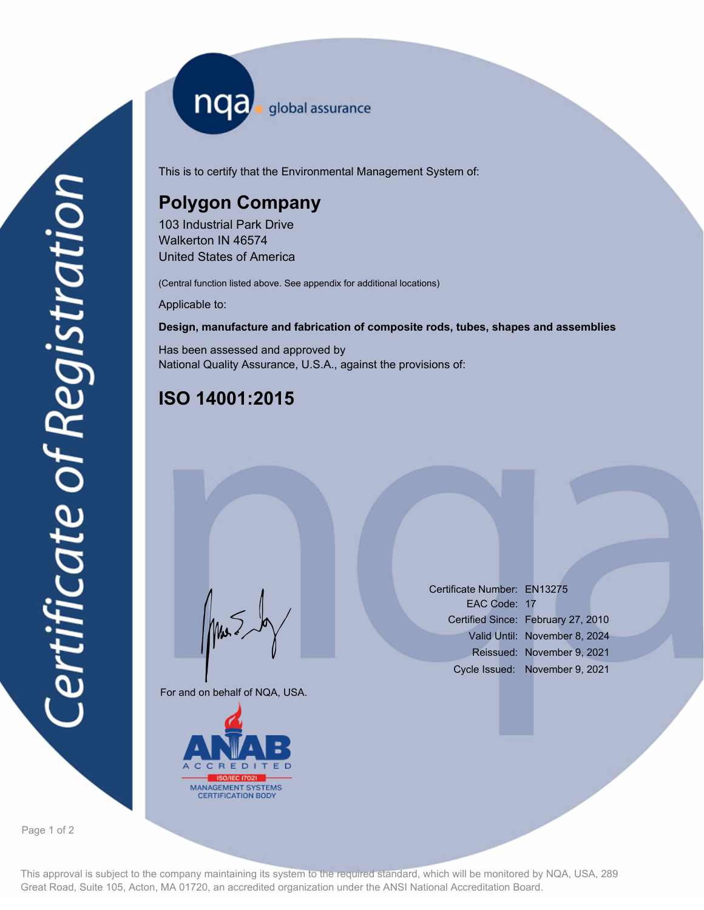nqa <sub>global</sub> assurance

This is to certify that the Environmental Management System of:

# **Polygon Company**

103 Industrial Park Drive Walkerton IN 46574 United States of America

(Central function listed above. See appendix for additional locations)

Applicable to:

#### **Design, manufacture and fabrication of composite rods, tubes, shapes and assemblies**

Has been assessed and approved by National Quality Assurance, U.S.A., against the provisions of:

## **ISO 14001:2015**

For and on behalf of NQA, USA.

Mus



Certificate Number: EN13275 EAC Code: 17 Certified Since: February 27, 2010 Valid Until: November 8, 2024 Reissued: November 9, 2021 Cycle Issued: November 9, 2021

Page 1 of 2

This approval is subject to the company maintaining its system to the required standard, which will be monitored by NQA, USA, 289 Great Road, Suite 105, Acton, MA 01720, an accredited organization under the ANSI National Accreditation Board.